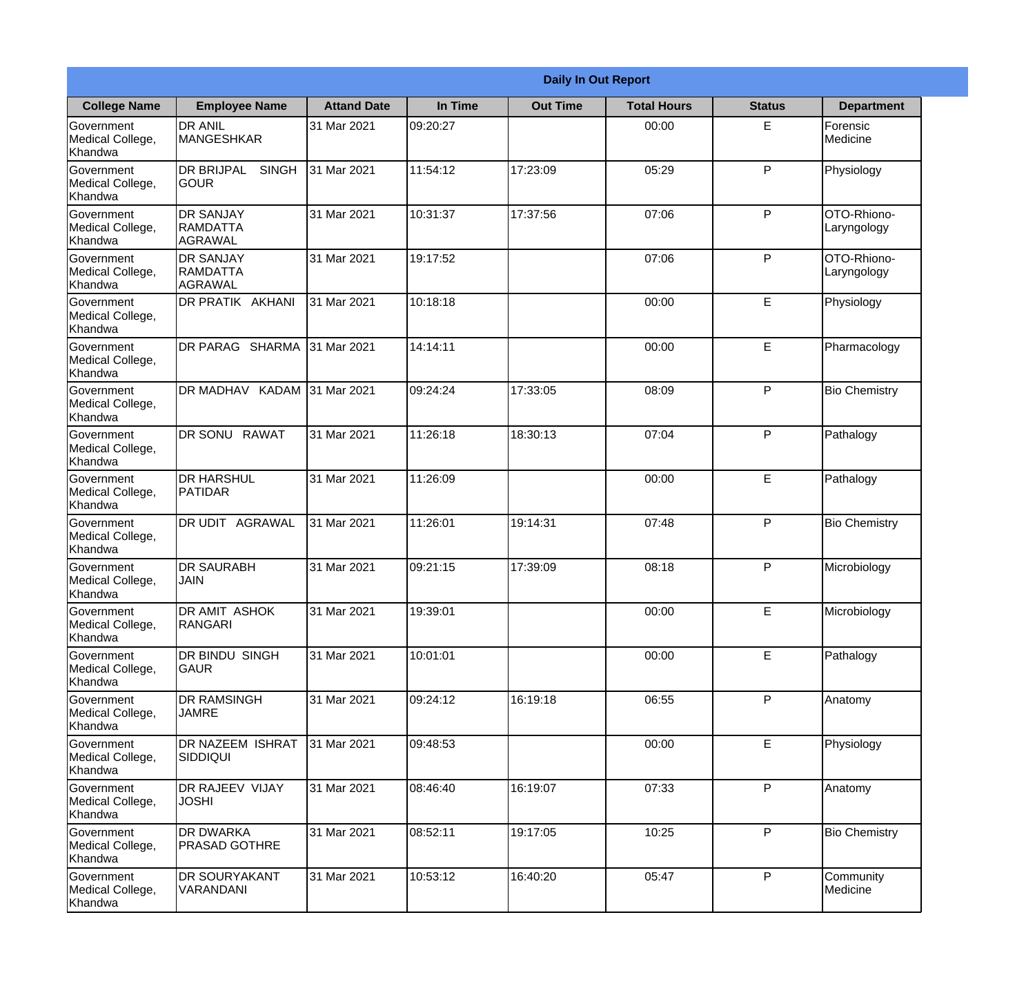|                                                  |                                                       |                    |          | <b>Daily In Out Report</b> |                    |               |                            |
|--------------------------------------------------|-------------------------------------------------------|--------------------|----------|----------------------------|--------------------|---------------|----------------------------|
| <b>College Name</b>                              | <b>Employee Name</b>                                  | <b>Attand Date</b> | In Time  | <b>Out Time</b>            | <b>Total Hours</b> | <b>Status</b> | <b>Department</b>          |
| Government<br>Medical College,<br>Khandwa        | <b>DR ANIL</b><br><b>MANGESHKAR</b>                   | 31 Mar 2021        | 09:20:27 |                            | 00:00              | E.            | Forensic<br>Medicine       |
| Government<br>Medical College,<br>Khandwa        | <b>DR BRIJPAL</b><br><b>SINGH</b><br> GOUR            | 31 Mar 2021        | 11:54:12 | 17:23:09                   | 05:29              | P             | Physiology                 |
| <b>Government</b><br>Medical College,<br>Khandwa | <b>IDR SANJAY</b><br><b>RAMDATTA</b><br>AGRAWAL       | 31 Mar 2021        | 10:31:37 | 17:37:56                   | 07:06              | P             | OTO-Rhiono-<br>Laryngology |
| Government<br>Medical College,<br>Khandwa        | <b>DR SANJAY</b><br><b>RAMDATTA</b><br><b>AGRAWAL</b> | 31 Mar 2021        | 19:17:52 |                            | 07:06              | P             | OTO-Rhiono-<br>Laryngology |
| Government<br>Medical College,<br>Khandwa        | <b>DR PRATIK AKHANI</b>                               | 31 Mar 2021        | 10:18:18 |                            | 00:00              | E             | Physiology                 |
| Government<br>Medical College,<br>Khandwa        | DR PARAG SHARMA                                       | 31 Mar 2021        | 14:14:11 |                            | 00:00              | E             | Pharmacology               |
| Government<br>Medical College,<br>Khandwa        | DR MADHAV KADAM 31 Mar 2021                           |                    | 09:24:24 | 17:33:05                   | 08:09              | P             | <b>Bio Chemistry</b>       |
| Government<br>Medical College,<br>Khandwa        | DR SONU RAWAT                                         | 31 Mar 2021        | 11:26:18 | 18:30:13                   | 07:04              | P             | Pathalogy                  |
| Government<br>Medical College,<br>Khandwa        | <b>DR HARSHUL</b><br>PATIDAR                          | 31 Mar 2021        | 11:26:09 |                            | 00:00              | E             | Pathalogy                  |
| Government<br>Medical College,<br>Khandwa        | DR UDIT<br><b>AGRAWAL</b>                             | 31 Mar 2021        | 11:26:01 | 19:14:31                   | 07:48              | P             | <b>Bio Chemistry</b>       |
| Government<br>Medical College,<br>Khandwa        | <b>IDR SAURABH</b><br><b>JAIN</b>                     | 31 Mar 2021        | 09:21:15 | 17:39:09                   | 08:18              | $\mathsf{P}$  | Microbiology               |
| Government<br>Medical College,<br>Khandwa        | <b>DR AMIT ASHOK</b><br>RANGARI                       | 31 Mar 2021        | 19:39:01 |                            | 00:00              | E             | Microbiology               |
| Government<br>Medical College,<br>Khandwa        | DR BINDU SINGH<br><b>GAUR</b>                         | 31 Mar 2021        | 10:01:01 |                            | 00:00              | E             | Pathalogy                  |
| Government<br>Medical College,<br>Khandwa        | <b>DR RAMSINGH</b><br><b>JAMRE</b>                    | 31 Mar 2021        | 09:24:12 | 16:19:18                   | 06:55              | P             | Anatomy                    |
| Government<br>Medical College,<br>Khandwa        | <b>DR NAZEEM ISHRAT</b><br>SIDDIQUI                   | 31 Mar 2021        | 09:48:53 |                            | 00:00              | E             | Physiology                 |
| Government<br>Medical College,<br>Khandwa        | <b>DR RAJEEV VIJAY</b><br><b>JOSHI</b>                | 31 Mar 2021        | 08:46:40 | 16:19:07                   | 07:33              | P             | Anatomy                    |
| Government<br>Medical College,<br>Khandwa        | <b>DR DWARKA</b><br><b>PRASAD GOTHRE</b>              | 31 Mar 2021        | 08:52:11 | 19:17:05                   | 10:25              | P             | <b>Bio Chemistry</b>       |
| Government<br>Medical College,<br>Khandwa        | <b>DR SOURYAKANT</b><br>VARANDANI                     | 31 Mar 2021        | 10:53:12 | 16:40:20                   | 05:47              | P             | Community<br>Medicine      |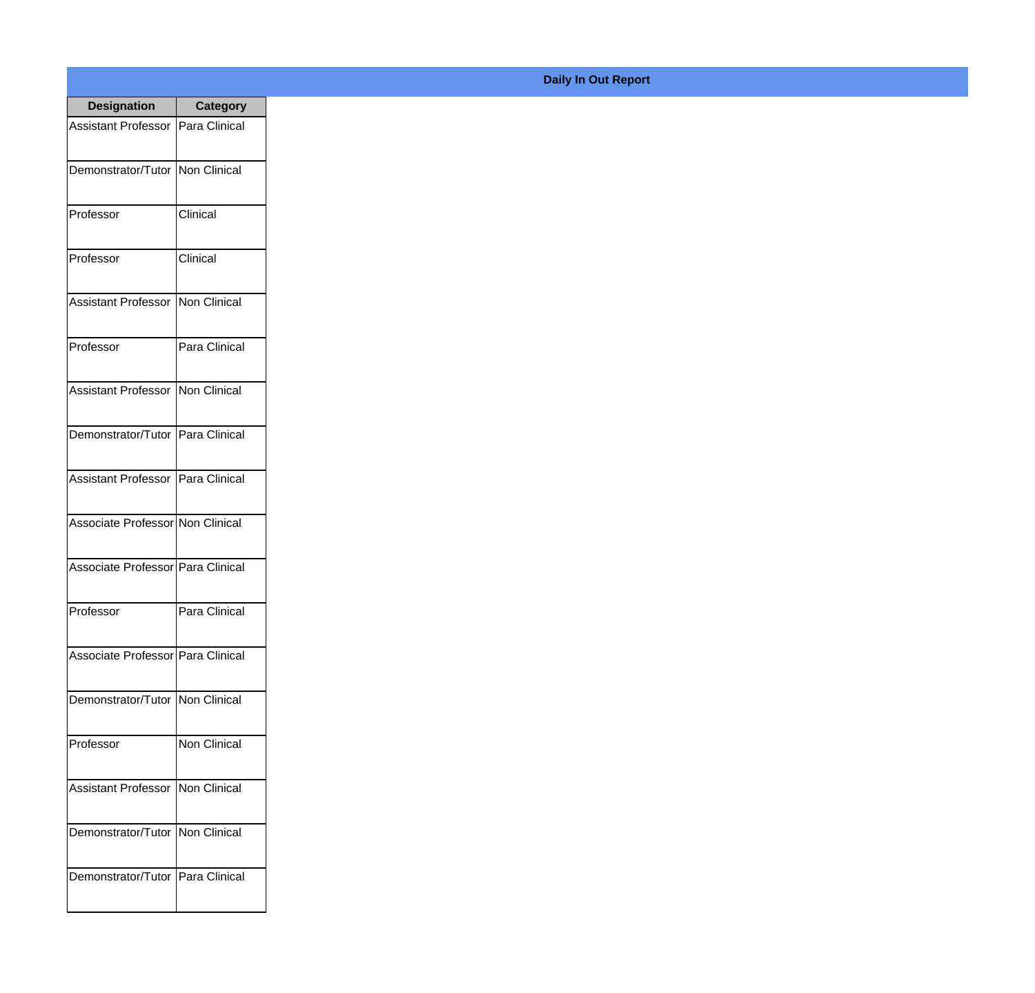| <b>Designation</b>                  | <b>Category</b>     |
|-------------------------------------|---------------------|
| <b>Assistant Professor</b>          | Para Clinical       |
| Demonstrator/Tutor                  | Non Clinical        |
| Professor                           | Clinical            |
| Professor                           | Clinical            |
| <b>Assistant Professor</b>          | <b>Non Clinical</b> |
| Professor                           | Para Clinical       |
| <b>Assistant Professor</b>          | Non Clinical        |
| Demonstrator/Tutor                  | Para Clinical       |
| <b>Assistant Professor</b>          | Para Clinical       |
| Associate Professor Non Clinical    |                     |
| Associate Professor   Para Clinical |                     |
| Professor                           | Para Clinical       |
| Associate Professor   Para Clinical |                     |
| Demonstrator/Tutor   Non Clinical   |                     |
| Professor                           | <b>Non Clinical</b> |
| <b>Assistant Professor</b>          | Non Clinical        |
| Demonstrator/Tutor                  | Non Clinical        |
| Demonstrator/Tutor   Para Clinical  |                     |

**Daily In Out Report**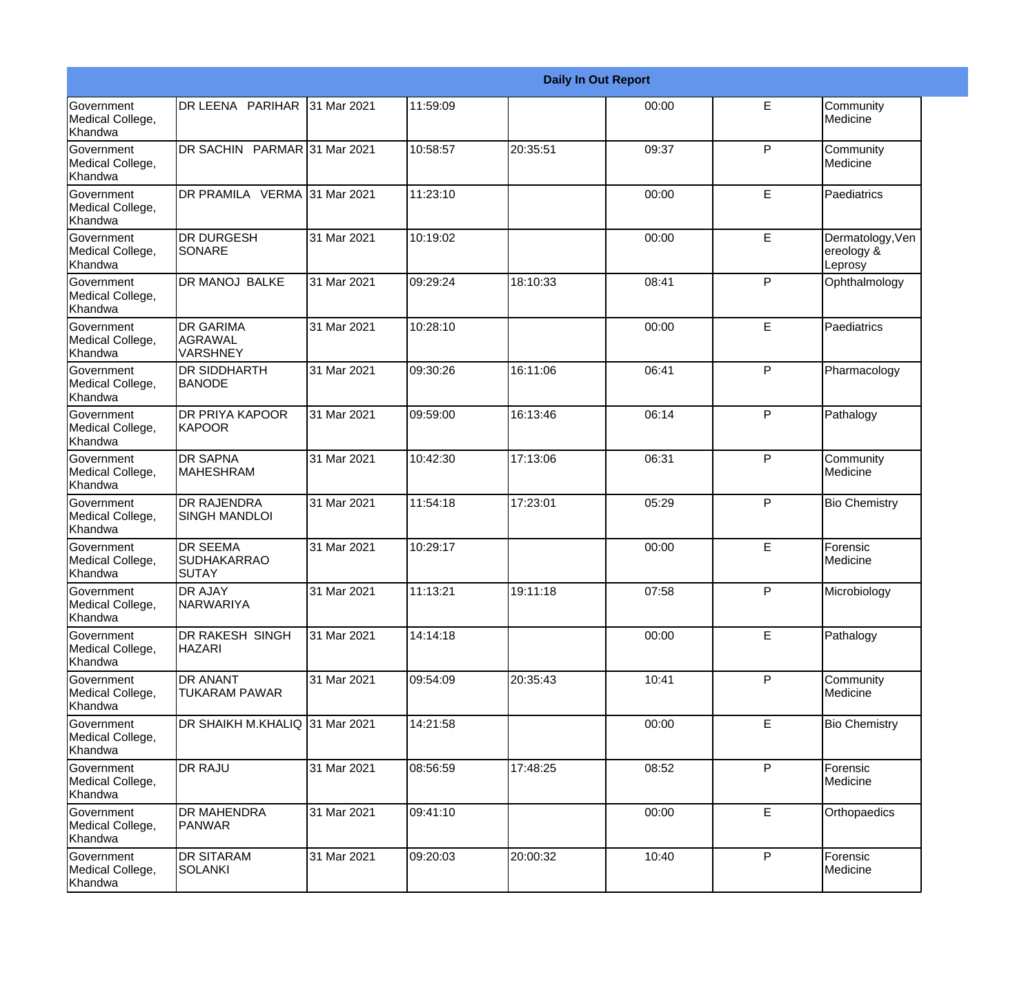|                                                  |                                                       |             |          |          | <b>Daily In Out Report</b> |              |                                           |
|--------------------------------------------------|-------------------------------------------------------|-------------|----------|----------|----------------------------|--------------|-------------------------------------------|
| <b>Government</b><br>Medical College,<br>Khandwa | DR LEENA PARIHAR                                      | 31 Mar 2021 | 11:59:09 |          | 00:00                      | E            | Community<br>Medicine                     |
| <b>Government</b><br>Medical College,<br>Khandwa | DR SACHIN PARMAR 31 Mar 2021                          |             | 10:58:57 | 20:35:51 | 09:37                      | P            | Community<br>Medicine                     |
| <b>Government</b><br>Medical College,<br>Khandwa | DR PRAMILA VERMA 31 Mar 2021                          |             | 11:23:10 |          | 00:00                      | E            | Paediatrics                               |
| <b>Government</b><br>Medical College,<br>Khandwa | <b>DR DURGESH</b><br>SONARE                           | 31 Mar 2021 | 10:19:02 |          | 00:00                      | E            | Dermatology, Ven<br>ereology &<br>Leprosy |
| Government<br>Medical College,<br>Khandwa        | DR MANOJ BALKE                                        | 31 Mar 2021 | 09:29:24 | 18:10:33 | 08:41                      | P            | Ophthalmology                             |
| <b>Government</b><br>Medical College,<br>Khandwa | <b>DR GARIMA</b><br><b>AGRAWAL</b><br><b>VARSHNEY</b> | 31 Mar 2021 | 10:28:10 |          | 00:00                      | E            | Paediatrics                               |
| Government<br>Medical College,<br>Khandwa        | <b>DR SIDDHARTH</b><br><b>BANODE</b>                  | 31 Mar 2021 | 09:30:26 | 16:11:06 | 06:41                      | P            | Pharmacology                              |
| Government<br>Medical College,<br>Khandwa        | <b>DR PRIYA KAPOOR</b><br><b>KAPOOR</b>               | 31 Mar 2021 | 09:59:00 | 16:13:46 | 06:14                      | $\mathsf{P}$ | Pathalogy                                 |
| <b>Government</b><br>Medical College,<br>Khandwa | <b>DR SAPNA</b><br><b>MAHESHRAM</b>                   | 31 Mar 2021 | 10:42:30 | 17:13:06 | 06:31                      | $\mathsf{P}$ | Community<br>Medicine                     |
| <b>Government</b><br>Medical College,<br>Khandwa | <b>DR RAJENDRA</b><br><b>SINGH MANDLOI</b>            | 31 Mar 2021 | 11:54:18 | 17:23:01 | 05:29                      | P            | <b>Bio Chemistry</b>                      |
| Government<br>Medical College,<br>Khandwa        | <b>DR SEEMA</b><br><b>SUDHAKARRAO</b><br>SUTAY        | 31 Mar 2021 | 10:29:17 |          | 00:00                      | E            | Forensic<br>Medicine                      |
| Government<br>Medical College,<br>Khandwa        | DR AJAY<br><b>NARWARIYA</b>                           | 31 Mar 2021 | 11:13:21 | 19:11:18 | 07:58                      | P            | Microbiology                              |
| Government<br>Medical College,<br>Khandwa        | DR RAKESH SINGH<br><b>HAZARI</b>                      | 31 Mar 2021 | 14:14:18 |          | 00:00                      | E            | Pathalogy                                 |
| Government<br>Medical College,<br>Khandwa        | DR ANANT<br>TUKARAM PAWAR                             | 31 Mar 2021 | 09:54:09 | 20:35:43 | 10:41                      | P            | Community<br>Medicine                     |
| Government<br>Medical College,<br>Khandwa        | DR SHAIKH M.KHALIQ 31 Mar 2021                        |             | 14:21:58 |          | 00:00                      | E            | <b>Bio Chemistry</b>                      |
| Government<br>Medical College,<br>Khandwa        | <b>DR RAJU</b>                                        | 31 Mar 2021 | 08:56:59 | 17:48:25 | 08:52                      | P            | Forensic<br>Medicine                      |
| Government<br>Medical College,<br>Khandwa        | DR MAHENDRA<br>PANWAR                                 | 31 Mar 2021 | 09:41:10 |          | 00:00                      | E            | Orthopaedics                              |
| Government<br>Medical College,<br>Khandwa        | <b>DR SITARAM</b><br>SOLANKI                          | 31 Mar 2021 | 09:20:03 | 20:00:32 | 10:40                      | P            | Forensic<br>Medicine                      |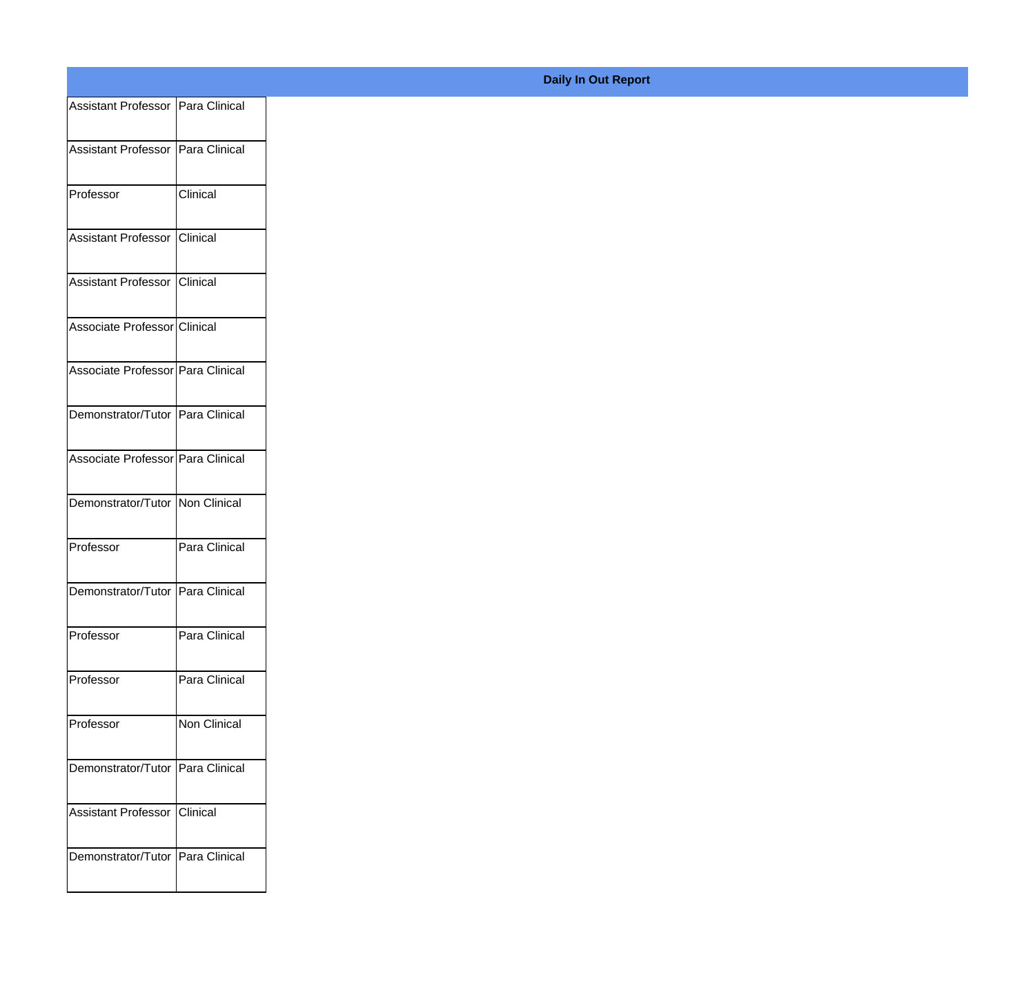| Assistant Professor   Para Clinical |
|-------------------------------------|
| Assistant Professor Para Clinical   |
|                                     |
| Clinical                            |
| Assistant Professor Clinical        |
| Assistant Professor Clinical        |
|                                     |
| Associate Professor Clinical        |
| Associate Professor Para Clinical   |
| Demonstrator/Tutor Para Clinical    |
| Associate Professor Para Clinical   |
|                                     |
| Demonstrator/Tutor Non Clinical     |
| Para Clinical                       |
| Demonstrator/Tutor   Para Clinical  |
| Para Clinical                       |
|                                     |
| Para Clinical                       |
| Non Clinical                        |
| Demonstrator/Tutor Para Clinical    |
|                                     |
| Assistant Professor Clinical        |
|                                     |
|                                     |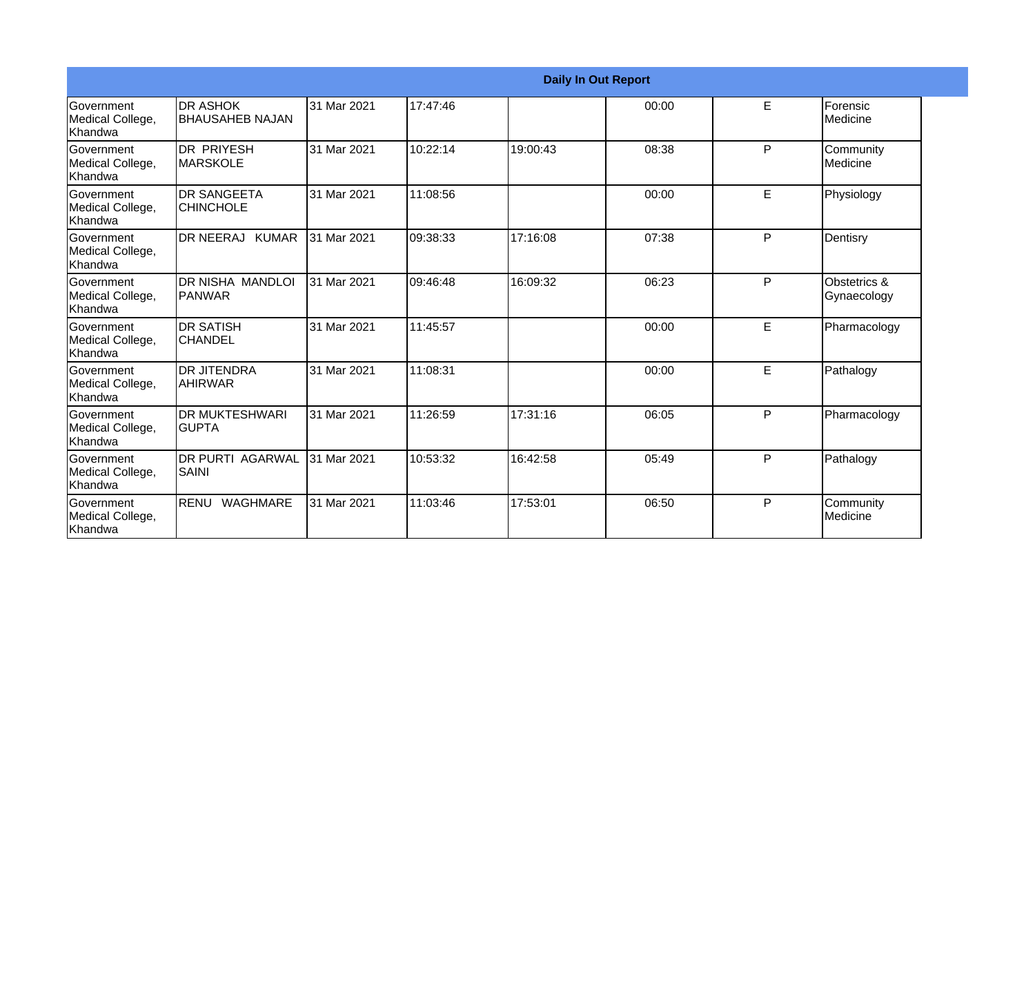|                                                  |                                           |             |          |          | <b>Daily In Out Report</b> |   |                             |
|--------------------------------------------------|-------------------------------------------|-------------|----------|----------|----------------------------|---|-----------------------------|
| <b>Government</b><br>Medical College,<br>Khandwa | <b>DR ASHOK</b><br><b>BHAUSAHEB NAJAN</b> | 31 Mar 2021 | 17:47:46 |          | 00:00                      | E | Forensic<br>Medicine        |
| Government<br>Medical College,<br>Khandwa        | <b>DR PRIYESH</b><br>IMARSKOLE            | 31 Mar 2021 | 10:22:14 | 19:00:43 | 08:38                      | P | Community<br>Medicine       |
| Government<br>Medical College,<br>Khandwa        | <b>DR SANGEETA</b><br><b>CHINCHOLE</b>    | 31 Mar 2021 | 11:08:56 |          | 00:00                      | E | Physiology                  |
| Government<br>Medical College,<br>Khandwa        | DR NEERAJ KUMAR                           | 31 Mar 2021 | 09:38:33 | 17:16:08 | 07:38                      | P | Dentisry                    |
| Government<br>Medical College,<br>Khandwa        | <b>DR NISHA MANDLOI</b><br>IPANWAR        | 31 Mar 2021 | 09:46:48 | 16:09:32 | 06:23                      | P | Obstetrics &<br>Gynaecology |
| Government<br>Medical College,<br>Khandwa        | <b>DR SATISH</b><br><b>CHANDEL</b>        | 31 Mar 2021 | 11:45:57 |          | 00:00                      | E | Pharmacology                |
| Government<br>Medical College,<br>Khandwa        | <b>DR JITENDRA</b><br><b>AHIRWAR</b>      | 31 Mar 2021 | 11:08:31 |          | 00:00                      | E | Pathalogy                   |
| Government<br>Medical College,<br>Khandwa        | <b>DR MUKTESHWARI</b><br><b>GUPTA</b>     | 31 Mar 2021 | 11:26:59 | 17:31:16 | 06:05                      | P | Pharmacology                |
| Government<br>Medical College,<br>Khandwa        | <b>DR PURTI AGARWAL</b><br><b>SAINI</b>   | 31 Mar 2021 | 10:53:32 | 16:42:58 | 05:49                      | P | Pathalogy                   |
| Government<br>Medical College,<br>Khandwa        | RENU WAGHMARE                             | 31 Mar 2021 | 11:03:46 | 17:53:01 | 06:50                      | P | Community<br>Medicine       |